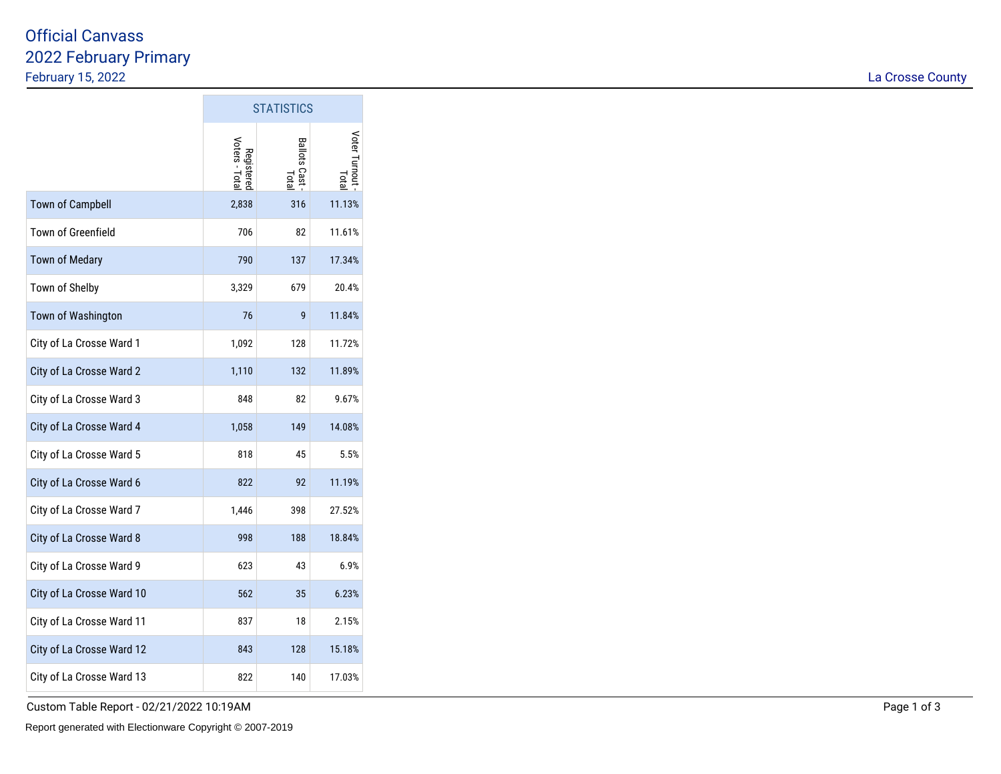## 2022 February Primary February 15, 2022Official Canvass

|                           | <b>STATISTICS</b>            |                         |                       |  |
|---------------------------|------------------------------|-------------------------|-----------------------|--|
|                           | Registered<br>Voters - Total | Ballots Cast -<br>Total | Voter Turnout<br>Tota |  |
| <b>Town of Campbell</b>   | 2,838                        | 316                     | 11.13%                |  |
| <b>Town of Greenfield</b> | 706                          | 82                      | 11.61%                |  |
| <b>Town of Medary</b>     | 790                          | 137                     | 17.34%                |  |
| Town of Shelby            | 3,329                        | 679                     | 20.4%                 |  |
| Town of Washington        | 76                           | 9                       | 11.84%                |  |
| City of La Crosse Ward 1  | 1,092                        | 128                     | 11.72%                |  |
| City of La Crosse Ward 2  | 1,110                        | 132                     | 11.89%                |  |
| City of La Crosse Ward 3  | 848                          | 82                      | 9.67%                 |  |
| City of La Crosse Ward 4  | 1,058                        | 149                     | 14.08%                |  |
| City of La Crosse Ward 5  | 818                          | 45                      | 5.5%                  |  |
| City of La Crosse Ward 6  | 822                          | 92                      | 11.19%                |  |
| City of La Crosse Ward 7  | 1,446                        | 398                     | 27.52%                |  |
| City of La Crosse Ward 8  | 998                          | 188                     | 18.84%                |  |
| City of La Crosse Ward 9  | 623                          | 43                      | 6.9%                  |  |
| City of La Crosse Ward 10 | 562                          | 35                      | 6.23%                 |  |
| City of La Crosse Ward 11 | 837                          | 18                      | 2.15%                 |  |
| City of La Crosse Ward 12 | 843                          | 128                     | 15.18%                |  |
| City of La Crosse Ward 13 | 822                          | 140                     | 17.03%                |  |

F

Custom Table Report - 02/21/2022 10:19AM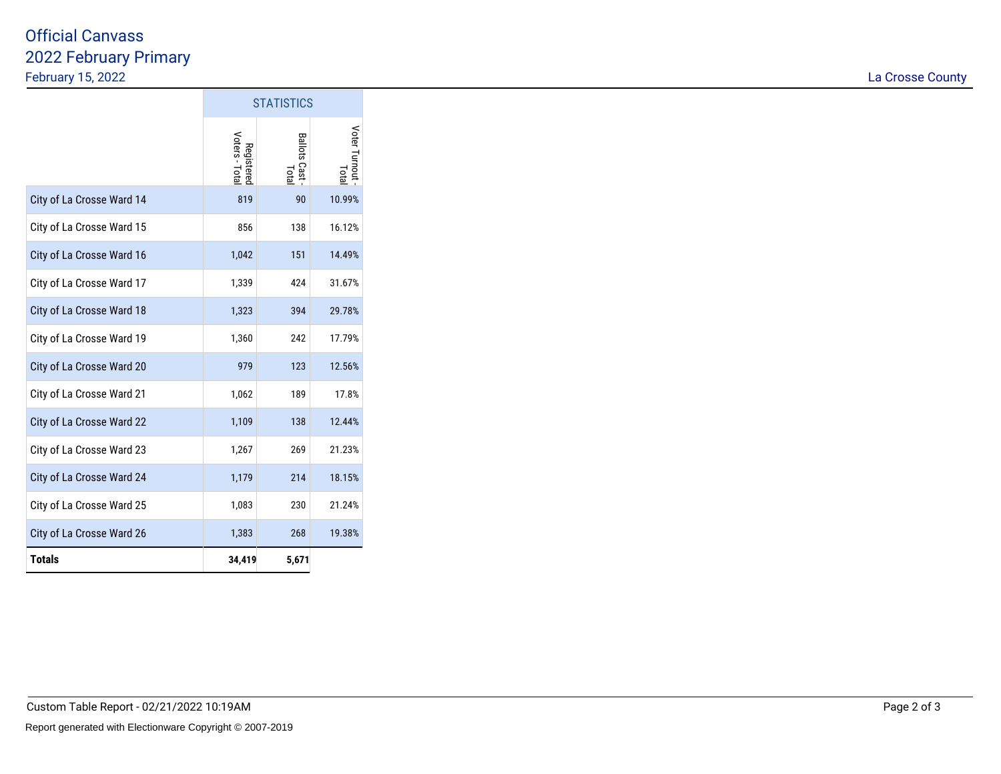## 2022 February Primary February 15, 2022Official Canvass

|                           | <b>STATISTICS</b>            |                         |                       |  |
|---------------------------|------------------------------|-------------------------|-----------------------|--|
|                           | Registered<br>Voters - Total | Ballots Cast -<br>Total | Voter Turnout<br>Tota |  |
| City of La Crosse Ward 14 | 819                          | 90                      | 10.99%                |  |
| City of La Crosse Ward 15 | 856                          | 138                     | 16.12%                |  |
| City of La Crosse Ward 16 | 1,042                        | 151                     | 14.49%                |  |
| City of La Crosse Ward 17 | 1,339                        | 424                     | 31.67%                |  |
| City of La Crosse Ward 18 | 1,323                        | 394                     | 29.78%                |  |
| City of La Crosse Ward 19 | 1,360                        | 242                     | 17.79%                |  |
| City of La Crosse Ward 20 | 979                          | 123                     | 12.56%                |  |
| City of La Crosse Ward 21 | 1,062                        | 189                     | 17.8%                 |  |
| City of La Crosse Ward 22 | 1,109                        | 138                     | 12.44%                |  |
| City of La Crosse Ward 23 | 1,267                        | 269                     | 21.23%                |  |
| City of La Crosse Ward 24 | 1,179                        | 214                     | 18.15%                |  |
| City of La Crosse Ward 25 | 1,083                        | 230                     | 21.24%                |  |
| City of La Crosse Ward 26 | 1,383                        | 268                     | 19.38%                |  |
| <b>Totals</b>             | 34,419                       | 5,671                   |                       |  |